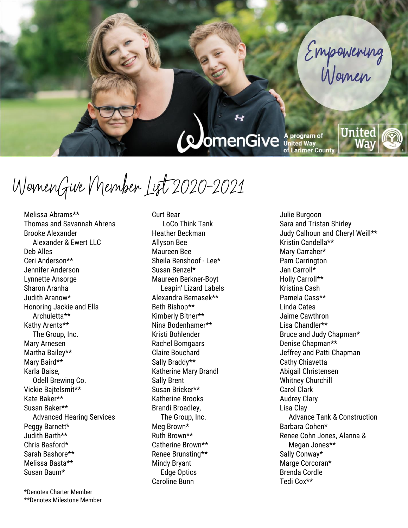#### **QuomenGive** A program of of Larimer County

WomenGive Member List 2020-2021

Melissa Abrams\*\* Thomas and Savannah Ahrens Brooke Alexander Alexander & Ewert LLC Deb Alles Ceri Anderson\*\* Jennifer Anderson Lynnette Ansorge Sharon Aranha Judith Aranow\* Honoring Jackie and Ella Archuletta\*\* Kathy Arents\*\* The Group, Inc. Mary Arnesen Martha Bailey\*\* Mary Baird\*\* Karla Baise, Odell Brewing Co. Vickie Bajtelsmit\*\* Kate Baker\*\* Susan Baker\*\* Advanced Hearing Services Peggy Barnett\* Judith Barth\*\* Chris Basford\* Sarah Bashore\*\* Melissa Basta\*\* Susan Baum\*

\*Denotes Charter Member \*\*Denotes Milestone Member Curt Bear LoCo Think Tank Heather Beckman Allyson Bee Maureen Bee Sheila Benshoof - Lee\* Susan Benzel\* Maureen Berkner-Boyt Leapin' Lizard Labels Alexandra Bernasek\*\* Beth Bishop\*\* Kimberly Bitner\*\* Nina Bodenhamer\*\* Kristi Bohlender Rachel Bomgaars Claire Bouchard Sally Braddy\*\* Katherine Mary Brandl Sally Brent Susan Bricker\*\* Katherine Brooks Brandi Broadley, The Group, Inc. Meg Brown\* Ruth Brown\*\* Catherine Brown\*\* Renee Brunsting\*\* Mindy Bryant Edge Optics Caroline Bunn

Julie Burgoon Sara and Tristan Shirley Judy Calhoun and Cheryl Weill\*\* Kristin Candella\*\* Mary Carraher\* Pam Carrington Jan Carroll\* Holly Carroll\*\* Kristina Cash Pamela Cass\*\* Linda Cates Jaime Cawthron Lisa Chandler\*\* Bruce and Judy Chapman\* Denise Chapman\*\* Jeffrey and Patti Chapman Cathy Chiavetta Abigail Christensen Whitney Churchill Carol Clark Audrey Clary Lisa Clay Advance Tank & Construction Barbara Cohen\* Renee Cohn Jones, Alanna & Megan Jones\*\* Sally Conway\* Marge Corcoran\* Brenda Cordle Tedi Cox\*\*

United

Way

Empowering<br>Women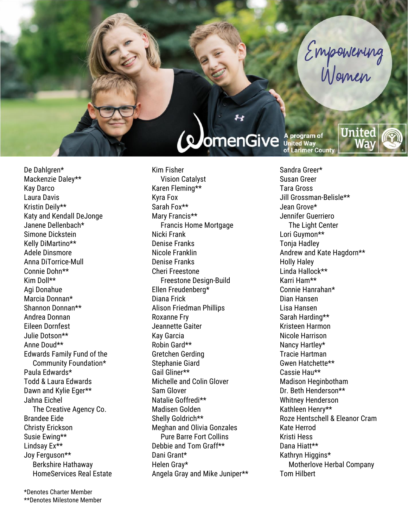# Empowering

#### *(pomenGive*

De Dahlgren\* Mackenzie Daley\*\* Kay Darco Laura Davis Kristin Deily\*\* Katy and Kendall DeJonge Janene Dellenbach\* Simone Dickstein Kelly DiMartino\*\* Adele Dinsmore Anna DiTorrice-Mull Connie Dohn\*\* Kim Doll\*\* Agi Donahue Marcia Donnan\* Shannon Donnan\*\* Andrea Donnan Eileen Dornfest Julie Dotson\*\* Anne Doud\*\* Edwards Family Fund of the Community Foundation\* Paula Edwards\* Todd & Laura Edwards Dawn and Kylie Eger\*\* Jahna Eichel The Creative Agency Co. Brandee Eide Christy Erickson Susie Ewing\*\* Lindsay Ex\*\* Joy Ferguson\*\* Berkshire Hathaway HomeServices Real Estate

\*Denotes Charter Member \*\*Denotes Milestone Member Kim Fisher Vision Catalyst Karen Fleming\*\* Kyra Fox Sarah Fox\*\* Mary Francis\*\* Francis Home Mortgage Nicki Frank Denise Franks Nicole Franklin Denise Franks Cheri Freestone Freestone Design-Build Ellen Freudenberg\* Diana Frick Alison Friedman Phillips Roxanne Fry Jeannette Gaiter Kay Garcia Robin Gard\*\* Gretchen Gerding Stephanie Giard Gail Gliner\*\* Michelle and Colin Glover Sam Glover Natalie Goffredi\*\* Madisen Golden Shelly Goldrich\*\* Meghan and Olivia Gonzales Pure Barre Fort Collins Debbie and Tom Graff\*\* Dani Grant\* Helen Gray\* Angela Gray and Mike Juniper\*\* **A program of<br>United Way<br>of Larimer County** 

United

Sandra Greer\* Susan Greer Tara Gross Jill Grossman-Belisle\*\* Jean Grove\* Jennifer Guerriero The Light Center Lori Guymon\*\* Tonja Hadley Andrew and Kate Hagdorn\*\* Holly Haley Linda Hallock\*\* Karri Ham\*\* Connie Hanrahan\* Dian Hansen Lisa Hansen Sarah Harding\*\* Kristeen Harmon Nicole Harrison Nancy Hartley\* Tracie Hartman Gwen Hatchette\*\* Cassie Hau\*\* Madison Heginbotham Dr. Beth Henderson\*\* Whitney Henderson Kathleen Henry\*\* Roze Hentschell & Eleanor Cram Kate Herrod Kristi Hess Dana Hiatt\*\* Kathryn Higgins\* Motherlove Herbal Company Tom Hilbert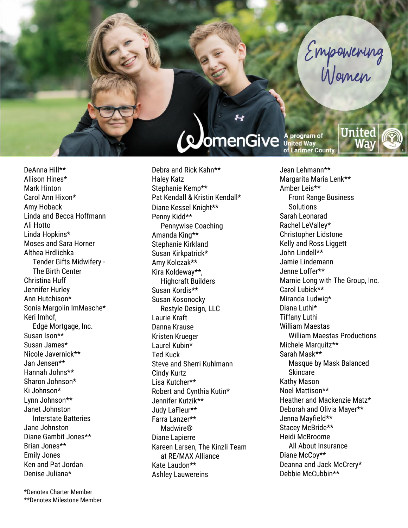# Empowering

United

## **ComenGive** A program of

DeAnna Hill \* \* Allison Hines \* Mark Hinton Carol Ann Hixon \* Amy Hoback Linda and Becca Hoffmann Ali Hotto Linda Hopkins \* Moses and Sara Horner Althea Hrdlichka Tender Gifts Midwifery - The Birth Center Christina Huff Jennifer Hurley Ann Hutchison \* Sonia Margolin ImMasche \* Keri Imhof , Edge Mortgage, Inc. Susan Ison \* \* Susan James \* Nicole Javernick\*\* Jan Jensen \* \* Hannah Johns \* \* Sharon Johnson \* Ki Johnson \* Lynn Johnson \* \* Janet Johnston Interstate Batteries Jane Johnston Diane Gambit Jones \* \* Brian Jones \* \* Emily Jones Ken and Pat Jordan Denise Juliana \*

\*Denotes Charter Member \*\*Denotes Milestone Member

Debra and Rick Kahn \* \* Haley Katz Stephanie Kemp \* \* Pat Kendall & Kristin Kendall\* Diane Kessel Knight \* \* Penny Kidd\*\* Pennywise Coaching Amanda King \* \* Stephanie Kirkland Susan Kirkpatrick \* Amy Kolczak \* \* Kira Koldeway \* \* , Highcraft Builders Susan Kordis \* \* Susan Kosonocky Restyle Design, LLC Laurie Kraft Danna Krause Kristen Krueger Laurel Kubin \* Ted Kuck Steve and Sherri Kuhlmann Cindy Kurtz Lisa Kutcher \* \* Robert and Cynthia Kutin \* Jennifer Kutzik \* \* Judy LaFleur \* \* Farra Lanzer \* \* Madwire® Diane Lapierre Kareen Larsen, The Kinzli Team at RE/MAX Alliance Kate Laudon \* \* Ashley Lauwereins

Jean Lehmann \* \* Margarita Maria Lenk \* \* Amber Leis \* \* Front Range Business **Solutions** Sarah Leonarad Rachel LeValley \* Christopher Lidstone Kelly and Ross Liggett John Lindell \* \* Jamie Lindemann Jenn e Loffer \* \* Marnie Long with The Group, Inc. Carol Lubick \* \* Miranda Ludwig \* Diana Luthi \* Tiffany Luthi William Maestas William Maestas Productions Michele Marquitz\*\* Sarah Mask \* \* Masque by Mask Balanced **Skincare** Kathy Maso n Noel Mattison \* \* Heather and Mackenzie Matz \* Deborah and Olivia Mayer\*\* Jenna Mayfield \* \* Stacey McBride \* \* Heidi McBroome All About Insurance Diane McCoy\*\* Deanna and Jack McCrery \* Debbie McCubbin \* \*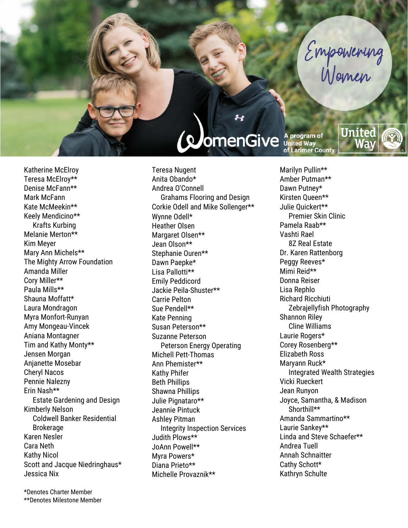## **ComenGive** A program of

United

Empowering

Katherine McElroy Teresa McElroy\*\* Denise McFann\*\* Mark McFann Kate McMeekin\*\* Keely Mendicino\*\* Krafts Kurbing Melanie Merton\*\* Kim Meyer Mary Ann Michels\*\* The Mighty Arrow Foundation Amanda Miller Cory Miller\*\* Paula Mills\*\* Shauna Moffatt\* Laura Mondragon Myra Monfort-Runyan Amy Mongeau-Vincek Aniana Montagner Tim and Kathy Monty\*\* Jensen Morgan Anjanette Mosebar Cheryl Nacos Pennie Nalezny Erin Nash\*\* Estate Gardening and Design Kimberly Nelson Coldwell Banker Residential **Brokerage** Karen Nesler Cara Neth Kathy Nicol Scott and Jacque Niedringhaus\* Jessica Nix

\*Denotes Charter Member \*\*Denotes Milestone Member Teresa Nugent Anita Obando\* Andrea O'Connell Grahams Flooring and Design Corkie Odell and Mike Sollenger\*\* Wynne Odell\* Heather Olsen Margaret Olsen\*\* Jean Olson\*\* Stephanie Ouren\*\* Dawn Paepke\* Lisa Pallotti\*\* Emily Peddicord Jackie Peila-Shuster\*\* Carrie Pelton Sue Pendell\*\* Kate Penning Susan Peterson\*\* Suzanne Peterson Peterson Energy Operating Michell Pett-Thomas Ann Phemister\*\* Kathy Phifer Beth Phillips Shawna Phillips Julie Pignataro\*\* Jeannie Pintuck Ashley Pitman Integrity Inspection Services Judith Plows\*\* JoAnn Powell\*\* Myra Powers\* Diana Prieto\*\* Michelle Provaznik\*\*

Marilyn Pullin\*\* Amber Putman\*\* Dawn Putney\* Kirsten Queen\*\* Julie Quickert\*\* Premier Skin Clinic Pamela Raab\*\* Vashti Rael 8Z Real Estate Dr. Karen Rattenborg Peggy Reeves\* Mimi Reid\*\* Donna Reiser Lisa Rephlo Richard Ricchiuti Zebrajellyfish Photography Shannon Riley Cline Williams Laurie Rogers\* Corey Rosenberg\*\* Elizabeth Ross Maryann Ruck\* Integrated Wealth Strategies Vicki Rueckert Jean Runyon Joyce, Samantha, & Madison Shorthill\*\* Amanda Sammartino\*\* Laurie Sankey\*\* Linda and Steve Schaefer\*\* Andrea Tuell Annah Schnaitter Cathy Schott\* Kathryn Schulte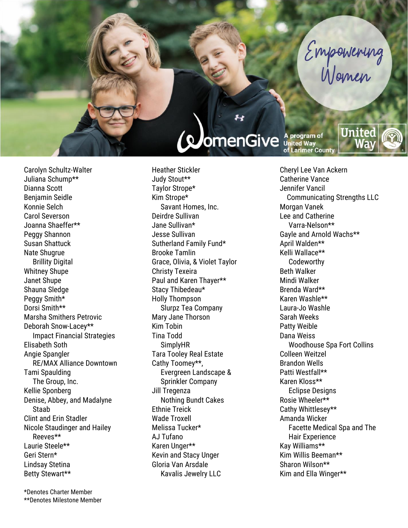## **ComenGive** A program of

United

Empowering

Carolyn Schultz-Walter Juliana Schump\*\* Dianna Scott Benjamin Seidle Konnie Selch Carol Severson Joanna Shaeffer\*\* Peggy Shannon Susan Shattuck Nate Shugrue Brillity Digital Whitney Shupe Janet Shupe Shauna Sledge Peggy Smith\* Dorsi Smith\*\* Marsha Smithers Petrovic Deborah Snow-Lacey\*\* Impact Financial Strategies Elisabeth Soth Angie Spangler RE/MAX Alliance Downtown Tami Spaulding The Group, Inc. Kellie Sponberg Denise, Abbey, and Madalyne Staab Clint and Erin Stadler Nicole Staudinger and Hailey Reeves\*\* Laurie Steele\*\* Geri Stern\* Lindsay Stetina Betty Stewart\*\*

\*Denotes Charter Member \*\*Denotes Milestone Member Heather Stickler Judy Stout\*\* Taylor Strope\* Kim Strope\* Savant Homes, Inc. Deirdre Sullivan Jane Sullivan\* Jesse Sullivan Sutherland Family Fund\* Brooke Tamlin Grace, Olivia, & Violet Taylor Christy Texeira Paul and Karen Thayer\*\* Stacy Thibedeau\* Holly Thompson Slurpz Tea Company Mary Jane Thorson Kim Tobin Tina Todd SimplyHR Tara Tooley Real Estate Cathy Toomey\*\*, Evergreen Landscape & Sprinkler Company Jill Tregenza Nothing Bundt Cakes Ethnie Treick Wade Troxell Melissa Tucker\* AJ Tufano Karen Unger\*\* Kevin and Stacy Unger Gloria Van Arsdale Kavalis Jewelry LLC

Cheryl Lee Van Ackern Catherine Vance Jennifer Vancil Communicating Strengths LLC Morgan Vanek Lee and Catherine Varra-Nelson\*\* Gayle and Arnold Wachs\*\* April Walden\*\* Kelli Wallace\*\* Codeworthy Beth Walker Mindi Walker Brenda Ward\*\* Karen Washle\*\* Laura-Jo Washle Sarah Weeks Patty Weible Dana Weiss Woodhouse Spa Fort Collins Colleen Weitzel Brandon Wells Patti Westfall\*\* Karen Kloss\*\* Eclipse Designs Rosie Wheeler\*\* Cathy Whittlesey\*\* Amanda Wicker Facette Medical Spa and The Hair Experience Kay Williams\*\* Kim Willis Beeman\*\* Sharon Wilson\*\* Kim and Ella Winger\*\*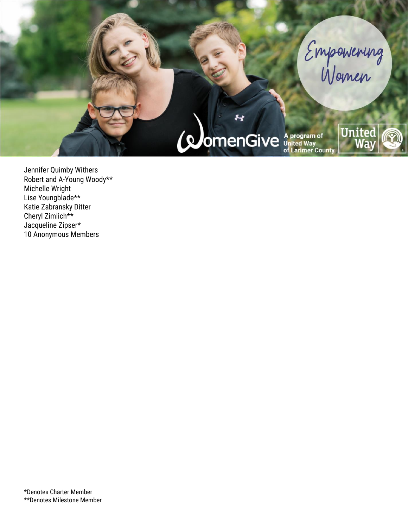

Jennifer Quimby Withers Robert and A-Young Woody\*\* Michelle Wright Lise Youngblade\*\* Katie Zabransky Ditter Cheryl Zimlich\*\* Jacqueline Zipser\* 10 Anonymous Members